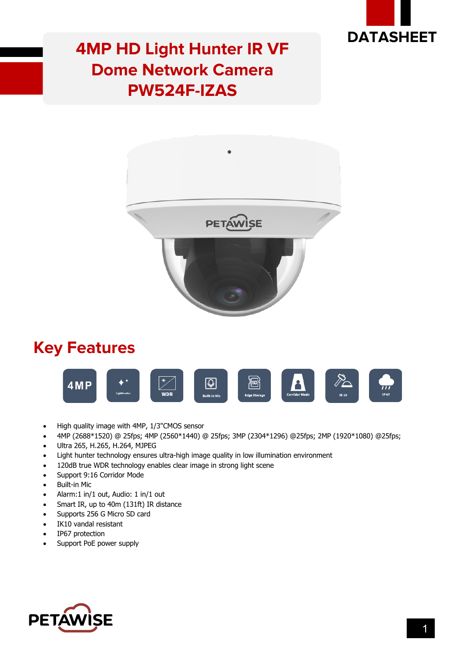

### **4MP HD Light Hunter IR VF Dome Network Camera PW524F-IZAS**



#### **Key Features**



- High quality image with 4MP, 1/3"CMOS sensor
- 4MP (2688\*1520) @ 25fps; 4MP (2560\*1440) @ 25fps; 3MP (2304\*1296) @25fps; 2MP (1920\*1080) @25fps;
- Ultra 265, H.265, H.264, MJPEG
- Light hunter technology ensures ultra-high image quality in low illumination environment
- 120dB true WDR technology enables clear image in strong light scene
- Support 9:16 Corridor Mode
- Built-in Mic
- Alarm:1 in/1 out, Audio: 1 in/1 out
- Smart IR, up to 40m (131ft) IR distance
- Supports 256 G Micro SD card
- IK10 vandal resistant
- IP67 protection
- Support PoE power supply

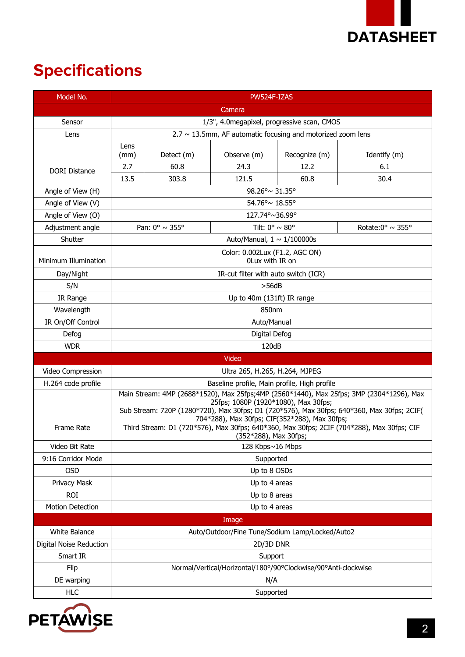

## **Specifications**

| Model No.               | PW524F-IZAS                                                                                                                                                                                                                                                                                                                                                                                           |                                  |                                   |               |                                    |  |
|-------------------------|-------------------------------------------------------------------------------------------------------------------------------------------------------------------------------------------------------------------------------------------------------------------------------------------------------------------------------------------------------------------------------------------------------|----------------------------------|-----------------------------------|---------------|------------------------------------|--|
|                         |                                                                                                                                                                                                                                                                                                                                                                                                       |                                  | Camera                            |               |                                    |  |
| Sensor                  | 1/3", 4.0megapixel, progressive scan, CMOS                                                                                                                                                                                                                                                                                                                                                            |                                  |                                   |               |                                    |  |
| Lens                    | $2.7 \sim 13.5$ mm, AF automatic focusing and motorized zoom lens                                                                                                                                                                                                                                                                                                                                     |                                  |                                   |               |                                    |  |
|                         | Lens                                                                                                                                                                                                                                                                                                                                                                                                  |                                  |                                   |               |                                    |  |
|                         | (mm)                                                                                                                                                                                                                                                                                                                                                                                                  | Detect (m)                       | Observe (m)                       | Recognize (m) | Identify (m)                       |  |
| <b>DORI Distance</b>    | 2.7                                                                                                                                                                                                                                                                                                                                                                                                   | 60.8                             | 24.3                              | 12.2          | 6.1                                |  |
|                         | 13.5                                                                                                                                                                                                                                                                                                                                                                                                  | 303.8                            | 121.5                             | 60.8          | 30.4                               |  |
| Angle of View (H)       | 98.26°~ 31.35°                                                                                                                                                                                                                                                                                                                                                                                        |                                  |                                   |               |                                    |  |
| Angle of View (V)       | 54.76°~18.55°                                                                                                                                                                                                                                                                                                                                                                                         |                                  |                                   |               |                                    |  |
| Angle of View (O)       |                                                                                                                                                                                                                                                                                                                                                                                                       | 127.74°~36.99°                   |                                   |               |                                    |  |
| Adjustment angle        |                                                                                                                                                                                                                                                                                                                                                                                                       | Pan: $0^\circ \sim 355^\circ$    | Tilt: $0^{\circ} \sim 80^{\circ}$ |               | Rotate:0 $\degree$ ~ 355 $\degree$ |  |
| Shutter                 |                                                                                                                                                                                                                                                                                                                                                                                                       | Auto/Manual, $1 \sim 1/100000$ s |                                   |               |                                    |  |
| Minimum Illumination    | Color: 0.002Lux (F1.2, AGC ON)<br>OLux with IR on                                                                                                                                                                                                                                                                                                                                                     |                                  |                                   |               |                                    |  |
| Day/Night               | IR-cut filter with auto switch (ICR)                                                                                                                                                                                                                                                                                                                                                                  |                                  |                                   |               |                                    |  |
| S/N                     | >56dB                                                                                                                                                                                                                                                                                                                                                                                                 |                                  |                                   |               |                                    |  |
| IR Range                | Up to 40m (131ft) IR range                                                                                                                                                                                                                                                                                                                                                                            |                                  |                                   |               |                                    |  |
| Wavelength              | 850nm                                                                                                                                                                                                                                                                                                                                                                                                 |                                  |                                   |               |                                    |  |
| IR On/Off Control       | Auto/Manual                                                                                                                                                                                                                                                                                                                                                                                           |                                  |                                   |               |                                    |  |
| Defog                   |                                                                                                                                                                                                                                                                                                                                                                                                       |                                  | Digital Defog                     |               |                                    |  |
| <b>WDR</b>              |                                                                                                                                                                                                                                                                                                                                                                                                       |                                  | 120dB                             |               |                                    |  |
|                         |                                                                                                                                                                                                                                                                                                                                                                                                       |                                  | Video                             |               |                                    |  |
| Video Compression       | Ultra 265, H.265, H.264, MJPEG                                                                                                                                                                                                                                                                                                                                                                        |                                  |                                   |               |                                    |  |
| H.264 code profile      | Baseline profile, Main profile, High profile                                                                                                                                                                                                                                                                                                                                                          |                                  |                                   |               |                                    |  |
| Frame Rate              | Main Stream: 4MP (2688*1520), Max 25fps;4MP (2560*1440), Max 25fps; 3MP (2304*1296), Max<br>25fps; 1080P (1920*1080), Max 30fps;<br>Sub Stream: 720P (1280*720), Max 30fps; D1 (720*576), Max 30fps; 640*360, Max 30fps; 2CIF(<br>704*288), Max 30fps; CIF(352*288), Max 30fps;<br>Third Stream: D1 (720*576), Max 30fps; 640*360, Max 30fps; 2CIF (704*288), Max 30fps; CIF<br>(352*288), Max 30fps; |                                  |                                   |               |                                    |  |
| Video Bit Rate          | 128 Kbps~16 Mbps                                                                                                                                                                                                                                                                                                                                                                                      |                                  |                                   |               |                                    |  |
| 9:16 Corridor Mode      | Supported                                                                                                                                                                                                                                                                                                                                                                                             |                                  |                                   |               |                                    |  |
| <b>OSD</b>              | Up to 8 OSDs                                                                                                                                                                                                                                                                                                                                                                                          |                                  |                                   |               |                                    |  |
| Privacy Mask            | Up to 4 areas                                                                                                                                                                                                                                                                                                                                                                                         |                                  |                                   |               |                                    |  |
| <b>ROI</b>              | Up to 8 areas                                                                                                                                                                                                                                                                                                                                                                                         |                                  |                                   |               |                                    |  |
| <b>Motion Detection</b> | Up to 4 areas                                                                                                                                                                                                                                                                                                                                                                                         |                                  |                                   |               |                                    |  |
|                         |                                                                                                                                                                                                                                                                                                                                                                                                       |                                  | Image                             |               |                                    |  |
| White Balance           | Auto/Outdoor/Fine Tune/Sodium Lamp/Locked/Auto2                                                                                                                                                                                                                                                                                                                                                       |                                  |                                   |               |                                    |  |
| Digital Noise Reduction | 2D/3D DNR                                                                                                                                                                                                                                                                                                                                                                                             |                                  |                                   |               |                                    |  |
| Smart IR                | Support                                                                                                                                                                                                                                                                                                                                                                                               |                                  |                                   |               |                                    |  |
| Flip                    | Normal/Vertical/Horizontal/180°/90°Clockwise/90°Anti-clockwise                                                                                                                                                                                                                                                                                                                                        |                                  |                                   |               |                                    |  |
| DE warping              | N/A                                                                                                                                                                                                                                                                                                                                                                                                   |                                  |                                   |               |                                    |  |
| <b>HLC</b>              |                                                                                                                                                                                                                                                                                                                                                                                                       | Supported                        |                                   |               |                                    |  |

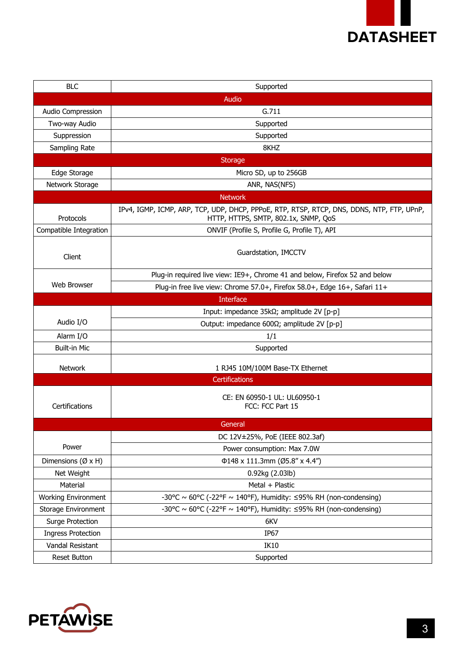

| <b>BLC</b>                 | Supported                                                                                                                         |  |  |  |  |
|----------------------------|-----------------------------------------------------------------------------------------------------------------------------------|--|--|--|--|
|                            | Audio                                                                                                                             |  |  |  |  |
| Audio Compression          | G.711                                                                                                                             |  |  |  |  |
| Two-way Audio              | Supported                                                                                                                         |  |  |  |  |
| Suppression                | Supported                                                                                                                         |  |  |  |  |
| Sampling Rate              | 8KHZ                                                                                                                              |  |  |  |  |
|                            | <b>Storage</b>                                                                                                                    |  |  |  |  |
| Edge Storage               | Micro SD, up to 256GB                                                                                                             |  |  |  |  |
| Network Storage            | ANR, NAS(NFS)                                                                                                                     |  |  |  |  |
|                            | <b>Network</b>                                                                                                                    |  |  |  |  |
| Protocols                  | IPv4, IGMP, ICMP, ARP, TCP, UDP, DHCP, PPPoE, RTP, RTSP, RTCP, DNS, DDNS, NTP, FTP, UPnP,<br>HTTP, HTTPS, SMTP, 802.1x, SNMP, QoS |  |  |  |  |
| Compatible Integration     | ONVIF (Profile S, Profile G, Profile T), API                                                                                      |  |  |  |  |
| Client                     | Guardstation, IMCCTV                                                                                                              |  |  |  |  |
|                            | Plug-in required live view: IE9+, Chrome 41 and below, Firefox 52 and below                                                       |  |  |  |  |
| Web Browser                | Plug-in free live view: Chrome 57.0+, Firefox 58.0+, Edge 16+, Safari 11+                                                         |  |  |  |  |
|                            | <b>Interface</b>                                                                                                                  |  |  |  |  |
|                            | Input: impedance 35kΩ; amplitude 2V [p-p]                                                                                         |  |  |  |  |
| Audio I/O                  | Output: impedance 600Ω; amplitude 2V [p-p]                                                                                        |  |  |  |  |
| Alarm I/O                  | 1/1                                                                                                                               |  |  |  |  |
| <b>Built-in Mic</b>        | Supported                                                                                                                         |  |  |  |  |
| <b>Network</b>             | 1 RJ45 10M/100M Base-TX Ethernet                                                                                                  |  |  |  |  |
|                            | <b>Certifications</b>                                                                                                             |  |  |  |  |
| Certifications             | CE: EN 60950-1 UL: UL60950-1<br>FCC: FCC Part 15                                                                                  |  |  |  |  |
|                            | General                                                                                                                           |  |  |  |  |
|                            | DC 12V±25%, PoE (IEEE 802.3af)                                                                                                    |  |  |  |  |
| Power                      | Power consumption: Max 7.0W                                                                                                       |  |  |  |  |
| Dimensions (Ø x H)         | Φ148 x 111.3mm (Ø5.8" x 4.4")                                                                                                     |  |  |  |  |
| Net Weight                 | 0.92kg (2.03lb)                                                                                                                   |  |  |  |  |
| Material                   | Metal + Plastic                                                                                                                   |  |  |  |  |
| <b>Working Environment</b> | -30°C ~ 60°C (-22°F ~ 140°F), Humidity: $\leq$ 95% RH (non-condensing)                                                            |  |  |  |  |
| Storage Environment        | -30°C ~ 60°C (-22°F ~ 140°F), Humidity: $\leq$ 95% RH (non-condensing)                                                            |  |  |  |  |
| Surge Protection           | 6KV                                                                                                                               |  |  |  |  |
| <b>Ingress Protection</b>  | IP67                                                                                                                              |  |  |  |  |
| Vandal Resistant           | IK10                                                                                                                              |  |  |  |  |
| Reset Button               | Supported                                                                                                                         |  |  |  |  |

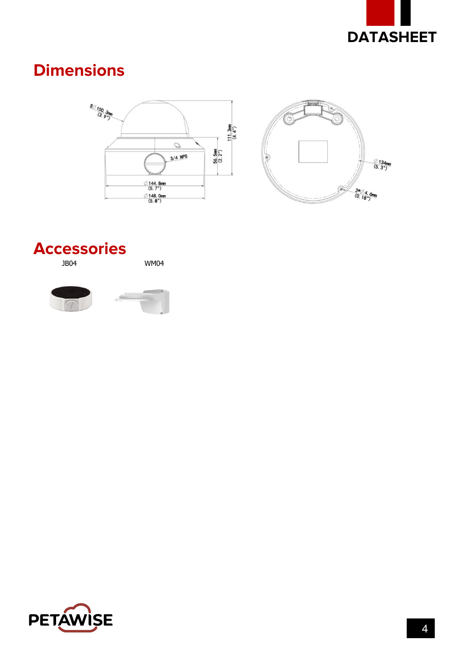

#### **Dimensions**





# **Accessories**

**WM04**